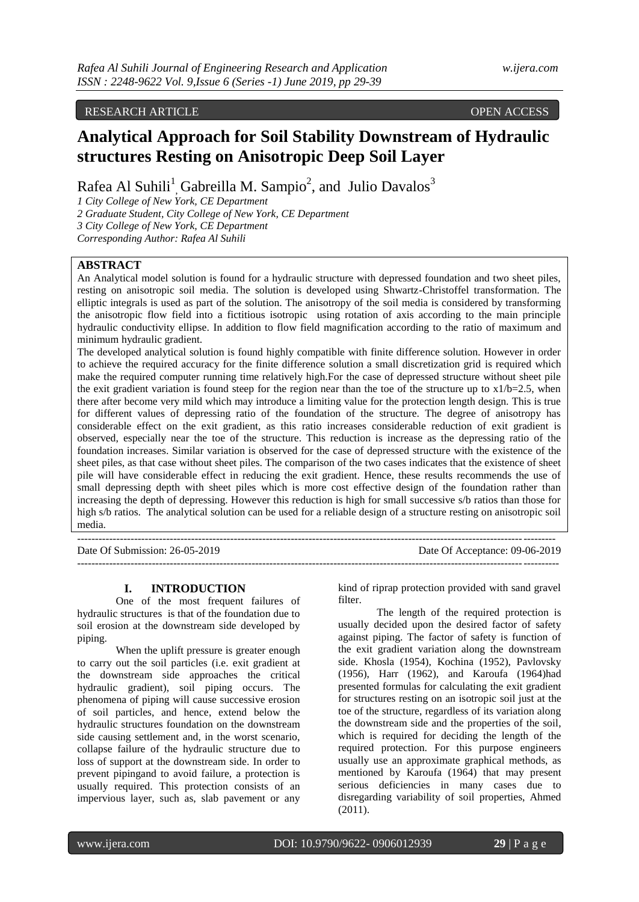# RESEARCH ARTICLE OPEN ACCESS

# **Analytical Approach for Soil Stability Downstream of Hydraulic structures Resting on Anisotropic Deep Soil Layer**

Rafea Al Suhili<sup>1</sup>, Gabreilla M. Sampio<sup>2</sup>, and Julio Davalos<sup>3</sup>

*1 City College of New York, CE Department*

*2 Graduate Student, City College of New York, CE Department 3 City College of New York, CE Department* 

*Corresponding Author: Rafea Al Suhili*

## **ABSTRACT**

An Analytical model solution is found for a hydraulic structure with depressed foundation and two sheet piles, resting on anisotropic soil media. The solution is developed using Shwartz-Christoffel transformation. The elliptic integrals is used as part of the solution. The anisotropy of the soil media is considered by transforming the anisotropic flow field into a fictitious isotropic using rotation of axis according to the main principle hydraulic conductivity ellipse. In addition to flow field magnification according to the ratio of maximum and minimum hydraulic gradient.

The developed analytical solution is found highly compatible with finite difference solution. However in order to achieve the required accuracy for the finite difference solution a small discretization grid is required which make the required computer running time relatively high.For the case of depressed structure without sheet pile the exit gradient variation is found steep for the region near than the toe of the structure up to  $x1/b=2.5$ , when there after become very mild which may introduce a limiting value for the protection length design. This is true for different values of depressing ratio of the foundation of the structure. The degree of anisotropy has considerable effect on the exit gradient, as this ratio increases considerable reduction of exit gradient is observed, especially near the toe of the structure. This reduction is increase as the depressing ratio of the foundation increases. Similar variation is observed for the case of depressed structure with the existence of the sheet piles, as that case without sheet piles. The comparison of the two cases indicates that the existence of sheet pile will have considerable effect in reducing the exit gradient. Hence, these results recommends the use of small depressing depth with sheet piles which is more cost effective design of the foundation rather than increasing the depth of depressing. However this reduction is high for small successive s/b ratios than those for high s/b ratios. The analytical solution can be used for a reliable design of a structure resting on anisotropic soil media.

--------------------------------------------------------------------------------------------------------------------------------------

---------------------------------------------------------------------------------------------------------------------------------------

Date Of Submission: 26-05-2019 Date Of Acceptance: 09-06-2019

#### **I. INTRODUCTION**

One of the most frequent failures of hydraulic structures is that of the foundation due to soil erosion at the downstream side developed by piping.

When the uplift pressure is greater enough to carry out the soil particles (i.e. exit gradient at the downstream side approaches the critical hydraulic gradient), soil piping occurs. The phenomena of piping will cause successive erosion of soil particles, and hence, extend below the hydraulic structures foundation on the downstream side causing settlement and, in the worst scenario, collapse failure of the hydraulic structure due to loss of support at the downstream side. In order to prevent pipingand to avoid failure, a protection is usually required. This protection consists of an impervious layer, such as, slab pavement or any kind of riprap protection provided with sand gravel filter.

The length of the required protection is usually decided upon the desired factor of safety against piping. The factor of safety is function of the exit gradient variation along the downstream side. Khosla (1954), Kochina (1952), Pavlovsky (1956), Harr (1962), and Karoufa (1964)had presented formulas for calculating the exit gradient for structures resting on an isotropic soil just at the toe of the structure, regardless of its variation along the downstream side and the properties of the soil, which is required for deciding the length of the required protection. For this purpose engineers usually use an approximate graphical methods, as mentioned by Karoufa (1964) that may present serious deficiencies in many cases due to disregarding variability of soil properties, Ahmed (2011).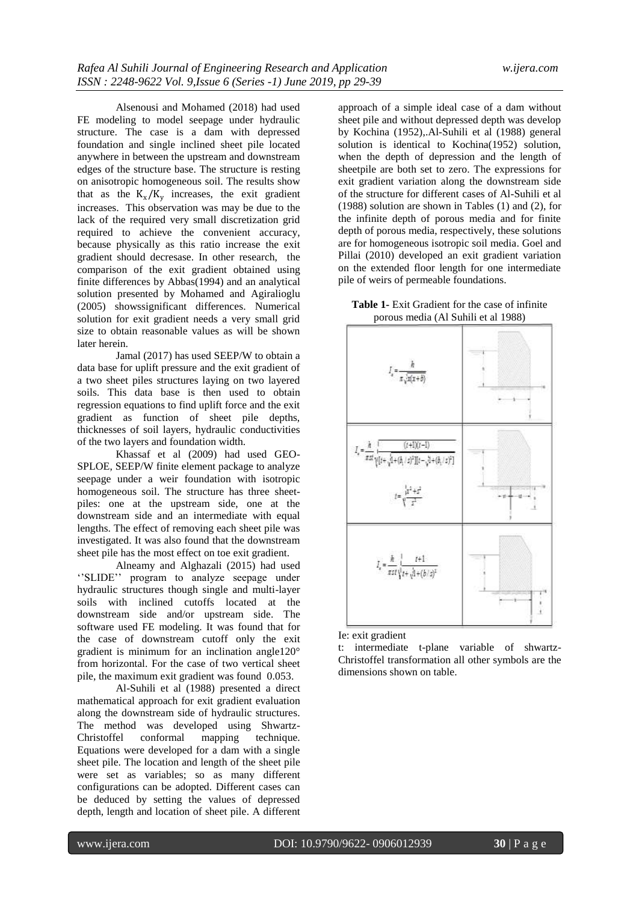Alsenousi and Mohamed (2018) had used FE modeling to model seepage under hydraulic structure. The case is a dam with depressed foundation and single inclined sheet pile located anywhere in between the upstream and downstream edges of the structure base. The structure is resting on anisotropic homogeneous soil. The results show that as the  $K_x/K_y$  increases, the exit gradient increases. This observation was may be due to the lack of the required very small discretization grid required to achieve the convenient accuracy, because physically as this ratio increase the exit gradient should decresase. In other research, the comparison of the exit gradient obtained using finite differences by Abbas(1994) and an analytical solution presented by Mohamed and Agiralioglu (2005) showssignificant differences. Numerical solution for exit gradient needs a very small grid size to obtain reasonable values as will be shown later herein.

Jamal (2017) has used SEEP/W to obtain a data base for uplift pressure and the exit gradient of a two sheet piles structures laying on two layered soils. This data base is then used to obtain regression equations to find uplift force and the exit gradient as function of sheet pile depths, thicknesses of soil layers, hydraulic conductivities of the two layers and foundation width.

Khassaf et al (2009) had used GEO-SPLOE, SEEP/W finite element package to analyze seepage under a weir foundation with isotropic homogeneous soil. The structure has three sheetpiles: one at the upstream side, one at the downstream side and an intermediate with equal lengths. The effect of removing each sheet pile was investigated. It was also found that the downstream sheet pile has the most effect on toe exit gradient.

Alneamy and Alghazali (2015) had used "SLIDE" program to analyze seepage under hydraulic structures though single and multi-layer soils with inclined cutoffs located at the downstream side and/or upstream side. The software used FE modeling. It was found that for the case of downstream cutoff only the exit gradient is minimum for an inclination angle120° from horizontal. For the case of two vertical sheet pile, the maximum exit gradient was found 0.053.

Al-Suhili et al (1988) presented a direct mathematical approach for exit gradient evaluation along the downstream side of hydraulic structures. The method was developed using Shwartz-Christoffel conformal mapping technique. Equations were developed for a dam with a single sheet pile. The location and length of the sheet pile were set as variables; so as many different configurations can be adopted. Different cases can be deduced by setting the values of depressed depth, length and location of sheet pile. A different

approach of a simple ideal case of a dam without sheet pile and without depressed depth was develop by Kochina (1952),.Al-Suhili et al (1988) general solution is identical to Kochina(1952) solution, when the depth of depression and the length of sheetpile are both set to zero. The expressions for exit gradient variation along the downstream side of the structure for different cases of Al-Suhili et al (1988) solution are shown in Tables (1) and (2), for the infinite depth of porous media and for finite depth of porous media, respectively, these solutions are for homogeneous isotropic soil media. Goel and Pillai (2010) developed an exit gradient variation on the extended floor length for one intermediate pile of weirs of permeable foundations.

**Table 1-** Exit Gradient for the case of infinite porous media (Al Suhili et al 1988)



Ie: exit gradient

t: intermediate t-plane variable of shwartz-Christoffel transformation all other symbols are the dimensions shown on table.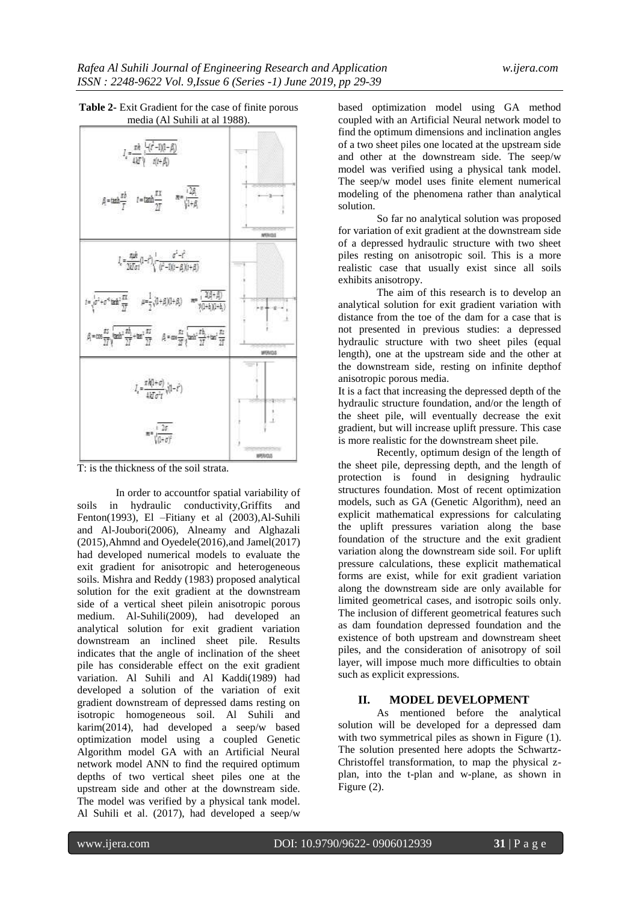

**Table 2-** Exit Gradient for the case of finite porous media (Al Suhili at al 1988).

T: is the thickness of the soil strata.

In order to accountfor spatial variability of soils in hydraulic conductivity,Griffits and Fenton(1993), El –Fitiany et al (2003),Al-Suhili and Al-Joubori(2006), Alneamy and Alghazali (2015),Ahmnd and Oyedele(2016),and Jamel(2017) had developed numerical models to evaluate the exit gradient for anisotropic and heterogeneous soils. Mishra and Reddy (1983) proposed analytical solution for the exit gradient at the downstream side of a vertical sheet pilein anisotropic porous medium. Al-Suhili(2009), had developed an analytical solution for exit gradient variation downstream an inclined sheet pile. Results indicates that the angle of inclination of the sheet pile has considerable effect on the exit gradient variation. Al Suhili and Al Kaddi(1989) had developed a solution of the variation of exit gradient downstream of depressed dams resting on isotropic homogeneous soil. Al Suhili and karim(2014), had developed a seep/w based optimization model using a coupled Genetic Algorithm model GA with an Artificial Neural network model ANN to find the required optimum depths of two vertical sheet piles one at the upstream side and other at the downstream side. The model was verified by a physical tank model. Al Suhili et al. (2017), had developed a seep/w

based optimization model using GA method coupled with an Artificial Neural network model to find the optimum dimensions and inclination angles of a two sheet piles one located at the upstream side and other at the downstream side. The seep/w model was verified using a physical tank model. The seep/w model uses finite element numerical modeling of the phenomena rather than analytical solution.

So far no analytical solution was proposed for variation of exit gradient at the downstream side of a depressed hydraulic structure with two sheet piles resting on anisotropic soil. This is a more realistic case that usually exist since all soils exhibits anisotropy.

The aim of this research is to develop an analytical solution for exit gradient variation with distance from the toe of the dam for a case that is not presented in previous studies: a depressed hydraulic structure with two sheet piles (equal length), one at the upstream side and the other at the downstream side, resting on infinite depthof anisotropic porous media.

It is a fact that increasing the depressed depth of the hydraulic structure foundation, and/or the length of the sheet pile, will eventually decrease the exit gradient, but will increase uplift pressure. This case is more realistic for the downstream sheet pile.

Recently, optimum design of the length of the sheet pile, depressing depth, and the length of protection is found in designing hydraulic structures foundation. Most of recent optimization models, such as GA (Genetic Algorithm), need an explicit mathematical expressions for calculating the uplift pressures variation along the base foundation of the structure and the exit gradient variation along the downstream side soil. For uplift pressure calculations, these explicit mathematical forms are exist, while for exit gradient variation along the downstream side are only available for limited geometrical cases, and isotropic soils only. The inclusion of different geometrical features such as dam foundation depressed foundation and the existence of both upstream and downstream sheet piles, and the consideration of anisotropy of soil layer, will impose much more difficulties to obtain such as explicit expressions.

## **II. MODEL DEVELOPMENT**

As mentioned before the analytical solution will be developed for a depressed dam with two symmetrical piles as shown in Figure (1). The solution presented here adopts the Schwartz-Christoffel transformation, to map the physical zplan, into the t-plan and w-plane, as shown in Figure (2).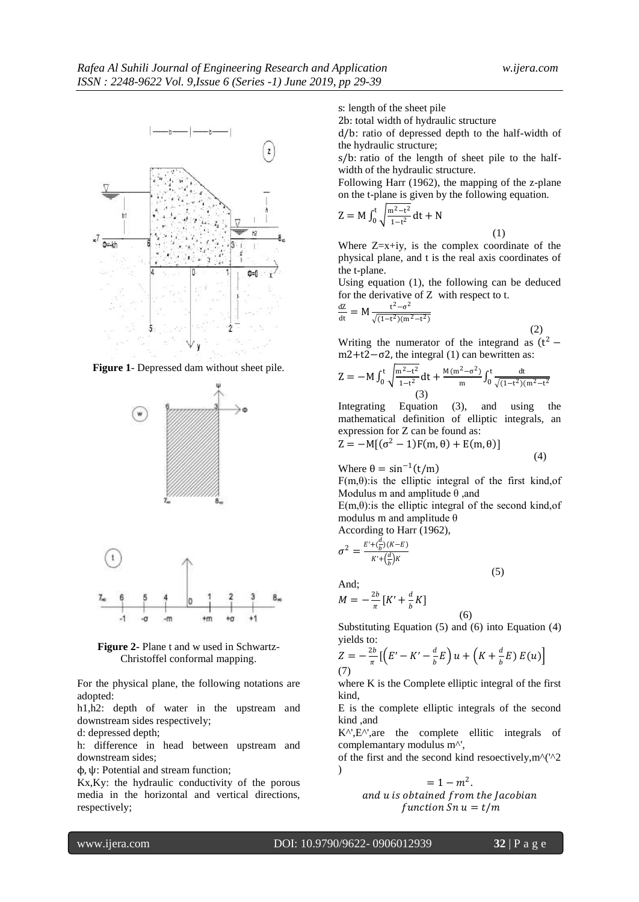

**Figure 1**- Depressed dam without sheet pile.



**Figure 2-** Plane t and w used in Schwartz-Christoffel conformal mapping.

For the physical plane, the following notations are adopted:

h1,h2: depth of water in the upstream and downstream sides respectively;

d: depressed depth;

h: difference in head between upstream and downstream sides;

ϕ, ψ: Potential and stream function;

Kx,Ky: the hydraulic conductivity of the porous media in the horizontal and vertical directions, respectively;

s: length of the sheet pile

2b: total width of hydraulic structure

d/b: ratio of depressed depth to the half-width of the hydraulic structure;

s/b: ratio of the length of sheet pile to the halfwidth of the hydraulic structure.

Following Harr (1962), the mapping of the z-plane on the t-plane is given by the following equation.

$$
Z = M \int_0^t \sqrt{\frac{m^2 - t^2}{1 - t^2}} dt + N
$$

Where  $Z=x+iy$ , is the complex coordinate of the physical plane, and t is the real axis coordinates of the t-plane.

(1)

(4)

Using equation (1), the following can be deduced for the derivative of Z with respect to t.

$$
\frac{dZ}{dt} = M \frac{t^2 - \sigma^2}{\sqrt{(1 - t^2)(m^2 - t^2)}}
$$

 (2) Writing the numerator of the integrand as  $(t^2$ m2+t2 $-\sigma$ 2, the integral (1) can bewritten as:

$$
Z = -M \int_0^t \sqrt{\frac{m^2 - t^2}{1 - t^2}} dt + \frac{M(m^2 - \sigma^2)}{m} \int_0^t \frac{dt}{\sqrt{(1 - t^2)(m^2 - t^2)}}
$$
\n(3)

Integrating Equation (3), and using the mathematical definition of elliptic integrals, an expression for Z can be found as:  $MT/2$ 

$$
Z = -M[(\sigma^2 - 1)F(m, \theta) + E(m, \theta)]
$$

Where 
$$
\theta = \sin^{-1}(t/m)
$$

 $F(m, \theta)$ : is the elliptic integral of the first kind, of Modulus m and amplitude  $\theta$  , and

 $E(m, \theta)$ : is the elliptic integral of the second kind, of modulus m and amplitude θ

(5)

According to Harr (1962),

$$
\sigma^2 = \frac{E' + (\frac{d}{b})(K - E)}{K' + (\frac{d}{b})K}
$$
  
And;

$$
M = -\frac{2b}{\pi} \left[ K' + \frac{d}{b} K \right]
$$

Substituting Equation (5) and (6) into Equation (4) yields to:

(6)

$$
Z = -\frac{2b}{\pi} \left[ \left( E' - K' - \frac{d}{b} E \right) u + \left( K + \frac{d}{b} E \right) E(u) \right]
$$
  
(7)

where K is the Complete elliptic integral of the first kind,

E is the complete elliptic integrals of the second kind ,and

 $K^{\wedge}$ ',E $^{\wedge}$ ',are the complete ellitic integrals of complemantary modulus m^',

of the first and the second kind resoectively,  $m^{\prime}$  ( $\prime$ 2  $\lambda$ 

> $= 1 - m^2$ . and u is obtained from the Jacobian function  $Sn u = t/m$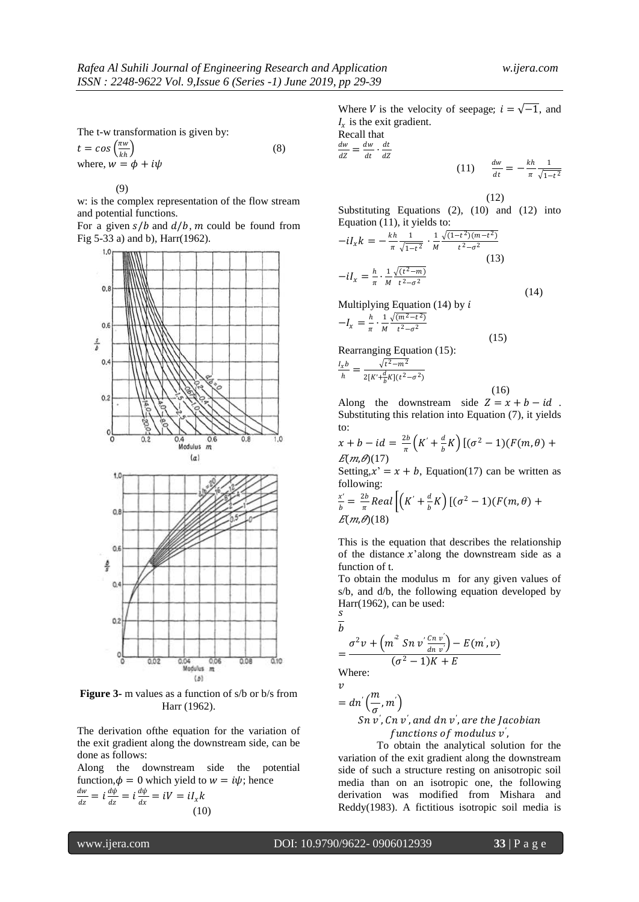1

The t-w transformation is given by:

 $t = cos \left( \frac{\pi w}{\mu} \right)$  $kh$  $\vert$  (8) where,  $w = \phi + i\psi$ 

(9)

w: is the complex representation of the flow stream and potential functions.

For a given  $s/b$  and  $d/b$ , m could be found from Fig 5-33 a) and b), Harr(1962).



**Figure 3-** m values as a function of s/b or b/s from Harr (1962).

The derivation ofthe equation for the variation of the exit gradient along the downstream side, can be done as follows:

Along the downstream side the potential function,  $\phi = 0$  which yield to  $w = i\psi$ ; hence dw  $\frac{dw}{dz}=i\frac{d\psi}{dz}$  $\frac{d\psi}{dz} = i \frac{d\psi}{dx}$  $\frac{d\psi}{dx} = iV = iI_x k$ (10)

Where *V* is the velocity of seepage;  $i = \sqrt{-1}$ , and  $I_x$  is the exit gradient. Recall that

 $\frac{dw}{dZ} = \frac{dw}{dt}$  $\frac{dw}{dt} \cdot \frac{dt}{dZ}$  $dZ$  $(11) \frac{dw}{dt}$  $\frac{dw}{dt} = -\frac{kh}{\pi}$  $\pi$  $\sqrt{1-t^2}$ 

(12)

(15)

Substituting Equations (2), (10) and (12) into Equation (11), it yields to:

$$
-iI_x k = -\frac{k h}{\pi} \frac{1}{\sqrt{1 - t^2}} \cdot \frac{1}{M} \frac{\sqrt{(1 - t^2)(m - t^2)}}{t^2 - \sigma^2}
$$
  
(13)  

$$
-iI_x = \frac{h}{\pi} \cdot \frac{1}{M} \frac{\sqrt{(t^2 - m)}}{t^2 - \sigma^2}
$$

Multiplying Equation (14) by i  $-I_x = \frac{h}{\pi}$  $\frac{h}{\pi} \cdot \frac{1}{M}$ M  $\sqrt{(m^2-t^2)}$  $t^2-\sigma^2$ 

Rearranging Equation (15):

$$
\frac{I_x b}{h} = \frac{\sqrt{t^2 - m^2}}{2[K' + \frac{d}{b}K](t^2 - \sigma^2)}
$$

 (16) Along the downstream side  $Z = x + b - id$ . Substituting this relation into Equation (7), it yields to:

$$
x + b - id = \frac{2b}{\pi} \left( K' + \frac{d}{b} K \right) \left[ (\sigma^2 - 1) (F(m, \theta) + E(m, \theta) (17) \right]
$$

Setting,  $x' = x + b$ , Equation(17) can be written as following:

$$
\frac{x'}{b} = \frac{2b}{\pi} Real \left[ \left( K' + \frac{d}{b} K \right) \left[ (\sigma^2 - 1) (F(m, \theta) + E(m, \theta) (18) \right] \right]
$$

This is the equation that describes the relationship of the distance  $x$ 'along the downstream side as a function of t.

To obtain the modulus m for any given values of s/b, and d/b, the following equation developed by Harr(1962), can be used:  $\overline{S}$ 

$$
\overline{b}
$$

dw

$$
=\frac{\sigma^2 v+\left(m^2\;Sn\;v'\frac{Cn\;v'}{dn\;v'}\right)-E(m',v)}{(\sigma^2-1)K+E}
$$

Where:  $\boldsymbol{v}$ 

=

$$
dn'(\frac{m}{\sigma}, m')\nSn v', Cn v', and dn v', are the Jacobian\nfunctions of modulus v',
$$

To obtain the analytical solution for the variation of the exit gradient along the downstream side of such a structure resting on anisotropic soil media than on an isotropic one, the following derivation was modified from Mishara and Reddy(1983). A fictitious isotropic soil media is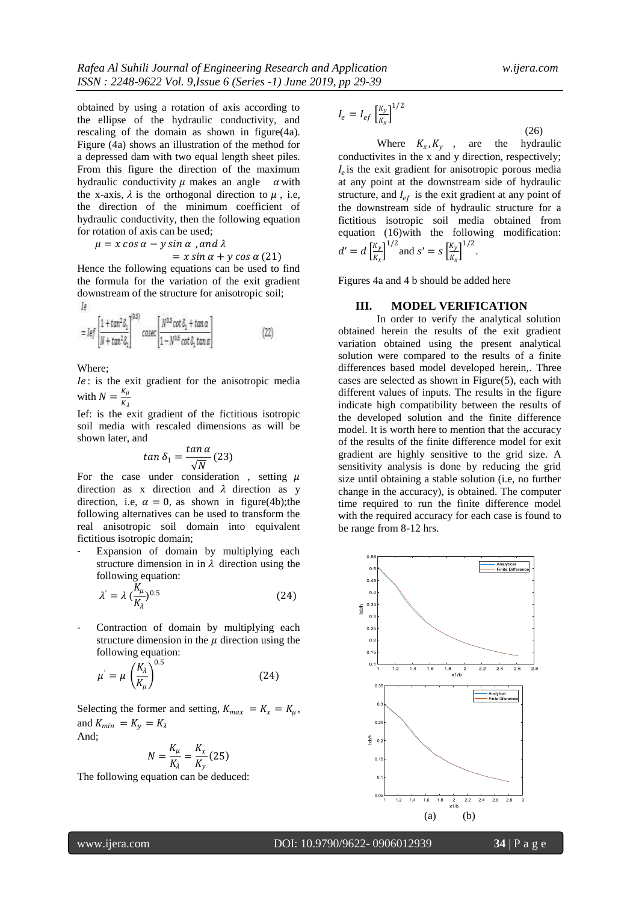obtained by using a rotation of axis according to the ellipse of the hydraulic conductivity, and rescaling of the domain as shown in figure(4a). Figure (4a) shows an illustration of the method for a depressed dam with two equal length sheet piles. From this figure the direction of the maximum hydraulic conductivity  $\mu$  makes an angle  $\alpha$  with the x-axis,  $\lambda$  is the orthogonal direction to  $\mu$ , i.e. the direction of the minimum coefficient of hydraulic conductivity, then the following equation for rotation of axis can be used;

 $\mu = x \cos \alpha - y \sin \alpha$ , and  $\lambda$ 

$$
= x \sin \alpha + y \cos \alpha (21)
$$

Hence the following equations can be used to find the formula for the variation of the exit gradient downstream of the structure for anisotropic soil; Īø

$$
= \text{Ief}\left[\frac{1+\tan^2\delta_1}{N+\tan^2\delta_1}\right]^{(b5)}\text{cosec}\left[\frac{N^{0.5}\cot\delta_1+\tan\alpha}{1-N^{0.5}\cot\delta_1\tan\alpha}\right] \tag{22}
$$

Where;

: is the exit gradient for the anisotropic media with  $N = \frac{K_{\mu}}{V}$  $K_\lambda$ 

Ief: is the exit gradient of the fictitious isotropic soil media with rescaled dimensions as will be shown later, and

$$
tan \delta_1 = \frac{tan \alpha}{\sqrt{N}}(23)
$$

For the case under consideration, setting  $\mu$ direction as x direction and  $\lambda$  direction as y direction, i.e,  $\alpha = 0$ , as shown in figure(4b);the following alternatives can be used to transform the real anisotropic soil domain into equivalent fictitious isotropic domain;

Expansion of domain by multiplying each structure dimension in in  $\lambda$  direction using the following equation:

$$
\lambda' = \lambda \left(\frac{K_{\mu}}{K_{\lambda}}\right)^{0.5} \tag{24}
$$

Contraction of domain by multiplying each structure dimension in the  $\mu$  direction using the following equation:

$$
\mu' = \mu \left(\frac{K_{\lambda}}{K_{\mu}}\right)^{0.5} \tag{24}
$$

Selecting the former and setting,  $K_{max} = K_x = K_\mu$ , and  $K_{min} = K_y = K_\lambda$ And;

$$
N = \frac{K_{\mu}}{K_{\lambda}} = \frac{K_{x}}{K_{y}}(25)
$$

The following equation can be deduced:

$$
I_e = I_{ef} \left[\frac{K_y}{K_x}\right]^{1/2}
$$

(26)

Where  $K_x$ ,  $K_y$ , are the hydraulic conductivites in the x and y direction, respectively;  $I_e$  is the exit gradient for anisotropic porous media at any point at the downstream side of hydraulic structure, and  $I_{ef}$  is the exit gradient at any point of the downstream side of hydraulic structure for a fictitious isotropic soil media obtained from equation (16)with the following modification:  $d' = d \left[\frac{K_y}{K}\right]$  $\left[\frac{K_y}{K_x}\right]^{1/2}$  and  $s' = s \left[\frac{K_y}{K_x}\right]$  $\frac{K_y}{K_x}$ <sup>1/2</sup>.

Figures 4a and 4 b should be added here

#### **III. MODEL VERIFICATION**

In order to verify the analytical solution obtained herein the results of the exit gradient variation obtained using the present analytical solution were compared to the results of a finite differences based model developed herein,. Three cases are selected as shown in Figure(5), each with different values of inputs. The results in the figure indicate high compatibility between the results of the developed solution and the finite difference model. It is worth here to mention that the accuracy of the results of the finite difference model for exit gradient are highly sensitive to the grid size. A sensitivity analysis is done by reducing the grid size until obtaining a stable solution (i.e, no further change in the accuracy), is obtained. The computer time required to run the finite difference model with the required accuracy for each case is found to be range from 8-12 hrs.

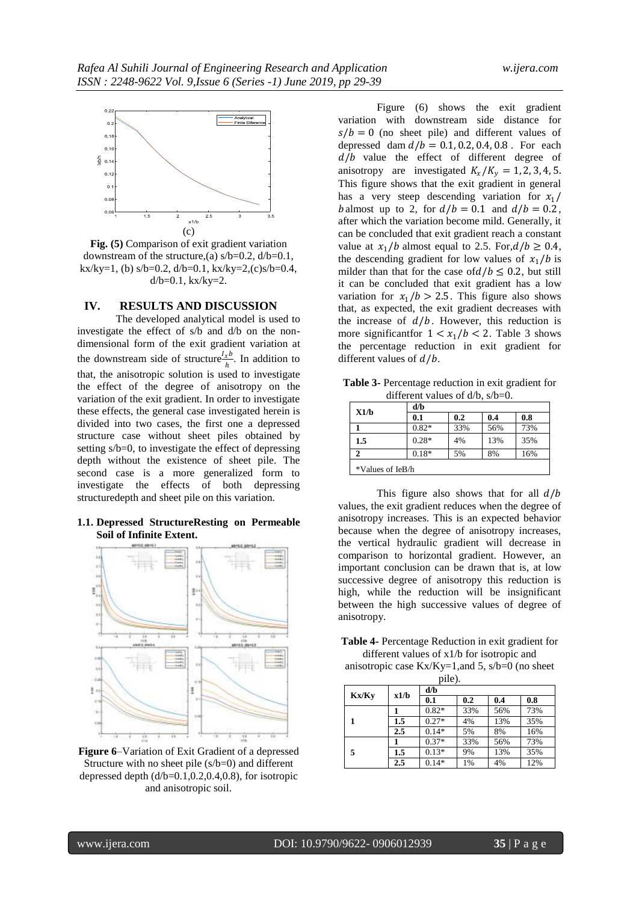

**Fig. (5)** Comparison of exit gradient variation downstream of the structure, (a)  $s/b=0.2$ ,  $d/b=0.1$ , kx/ky=1, (b) s/b=0.2,  $d/b=0.1$ , kx/ky=2,(c)s/b=0.4,  $d/b = 0.1$ ,  $kx/ky = 2$ .

#### **IV. RESULTS AND DISCUSSION**

The developed analytical model is used to investigate the effect of s/b and d/b on the nondimensional form of the exit gradient variation at the downstream side of structure  $\frac{l_x b}{h}$ . In addition to that, the anisotropic solution is used to investigate the effect of the degree of anisotropy on the variation of the exit gradient. In order to investigate these effects, the general case investigated herein is divided into two cases, the first one a depressed structure case without sheet piles obtained by setting s/b=0, to investigate the effect of depressing depth without the existence of sheet pile. The second case is a more generalized form to investigate the effects of both depressing structuredepth and sheet pile on this variation.

## **1.1. Depressed StructureResting on Permeable Soil of Infinite Extent.**



**Figure 6**–Variation of Exit Gradient of a depressed Structure with no sheet pile  $(s/b=0)$  and different depressed depth  $(d/b=0.1, 0.2, 0.4, 0.8)$ , for isotropic and anisotropic soil.

Figure (6) shows the exit gradient variation with downstream side distance for  $s/b = 0$  (no sheet pile) and different values of depressed dam  $d/b = 0.1, 0.2, 0.4, 0.8$ . For each  $d/b$  value the effect of different degree of anisotropy are investigated  $K_x/K_y = 1, 2, 3, 4, 5$ . This figure shows that the exit gradient in general has a very steep descending variation for  $x_1/$ b almost up to 2, for  $d/b = 0.1$  and  $d/b = 0.2$ , after which the variation become mild. Generally, it can be concluded that exit gradient reach a constant value at  $x_1/b$  almost equal to 2.5. For, $d/b \ge 0.4$ , the descending gradient for low values of  $x_1/b$  is milder than that for the case of  $d/b \le 0.2$ , but still it can be concluded that exit gradient has a low variation for  $x_1/b > 2.5$ . This figure also shows that, as expected, the exit gradient decreases with the increase of  $d/b$ . However, this reduction is more significant for  $1 < x_1/b < 2$ . Table 3 shows the percentage reduction in exit gradient for different values of  $d/b$ .

**Table 3-** Percentage reduction in exit gradient for different values of d/b, s/b=0.

| X1/b             | d/b     |     |     |     |  |  |
|------------------|---------|-----|-----|-----|--|--|
|                  | 0.1     | 0.2 | 0.4 | 0.8 |  |  |
|                  | $0.82*$ | 33% | 56% | 73% |  |  |
| 1.5              | $0.28*$ | 4%  | 13% | 35% |  |  |
|                  | $0.18*$ | 5%  | 8%  | 16% |  |  |
| *Values of IeB/h |         |     |     |     |  |  |

This figure also shows that for all  $d/b$ values, the exit gradient reduces when the degree of anisotropy increases. This is an expected behavior because when the degree of anisotropy increases, the vertical hydraulic gradient will decrease in comparison to horizontal gradient. However, an important conclusion can be drawn that is, at low successive degree of anisotropy this reduction is high, while the reduction will be insignificant between the high successive values of degree of anisotropy.

**Table 4-** Percentage Reduction in exit gradient for different values of x1/b for isotropic and anisotropic case  $Kx/Ky=1$ , and 5,  $s/b=0$  (no sheet

pile).

|       | x1/b | d/b     |     |     |     |  |
|-------|------|---------|-----|-----|-----|--|
| Kx/Ky |      | 0.1     | 0.2 | 0.4 | 0.8 |  |
|       |      | $0.82*$ | 33% | 56% | 73% |  |
|       | 1.5  | $0.27*$ | 4%  | 13% | 35% |  |
|       | 2.5  | $0.14*$ | 5%  | 8%  | 16% |  |
|       |      | $0.37*$ | 33% | 56% | 73% |  |
| 5     | 1.5  | $0.13*$ | 9%  | 13% | 35% |  |
|       | 2.5  | $0.14*$ | 1%  | 4%  | 12% |  |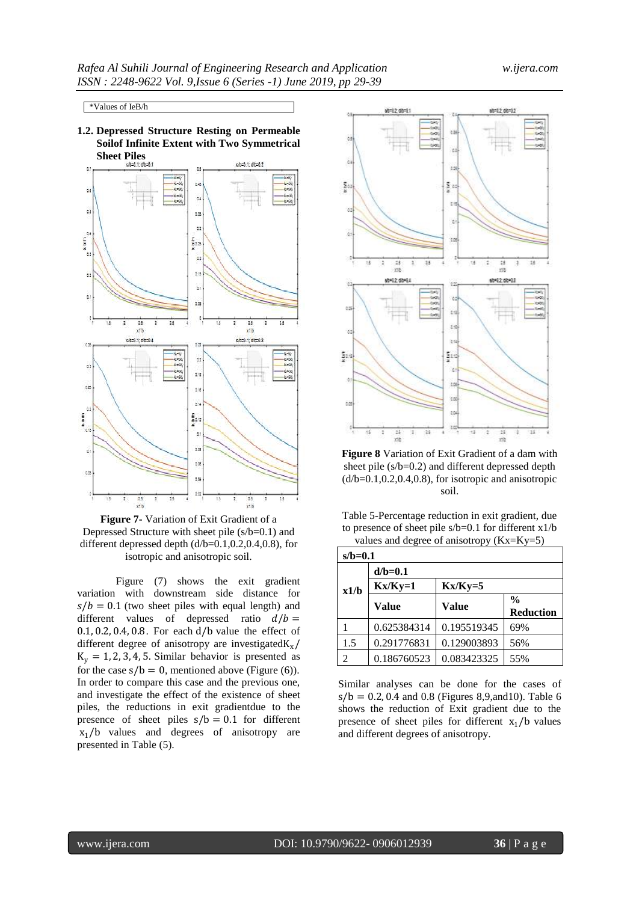\*Values of IeB/h

**1.2. Depressed Structure Resting on Permeable Soilof Infinite Extent with Two Symmetrical** 



**Figure 7-** Variation of Exit Gradient of a Depressed Structure with sheet pile (s/b=0.1) and different depressed depth (d/b=0.1,0.2,0.4,0.8), for isotropic and anisotropic soil.

Figure (7) shows the exit gradient variation with downstream side distance for  $s/b = 0.1$  (two sheet piles with equal length) and different values of depressed ratio  $d/b =$ 0.1, 0.2, 0.4, 0.8. For each d/b value the effect of different degree of anisotropy are investigated  $K_x/$  $K_v = 1, 2, 3, 4, 5$ . Similar behavior is presented as for the case  $s/b = 0$ , mentioned above (Figure (6)). In order to compare this case and the previous one, and investigate the effect of the existence of sheet piles, the reductions in exit gradientdue to the presence of sheet piles  $s/b = 0.1$  for different  $x_1/b$  values and degrees of anisotropy are presented in Table (5).



**Figure 8** Variation of Exit Gradient of a dam with sheet pile (s/b=0.2) and different depressed depth  $(d/b=0.1, 0.2, 0.4, 0.8)$ , for isotropic and anisotropic soil.

| Table 5-Percentage reduction in exit gradient, due       |
|----------------------------------------------------------|
| to presence of sheet pile $s/b=0.1$ for different $x1/b$ |
| values and degree of anisotropy $(Kx=Ky=5)$              |

| $s/b=0.1$ |              |              |                  |  |  |  |
|-----------|--------------|--------------|------------------|--|--|--|
|           | $d/b=0.1$    |              |                  |  |  |  |
| x1/b      | $Kx/Ky=1$    | $Kx/Ky=5$    |                  |  |  |  |
|           | <b>Value</b> | <b>Value</b> | $\frac{0}{0}$    |  |  |  |
|           |              |              | <b>Reduction</b> |  |  |  |
|           | 0.625384314  | 0.195519345  | 69%              |  |  |  |
| 1.5       | 0.291776831  | 0.129003893  | 56%              |  |  |  |
| 2         | 0.186760523  | 0.083423325  | 55%              |  |  |  |

Similar analyses can be done for the cases of  $s/b = 0.2, 0.4$  and 0.8 (Figures 8,9, and 10). Table 6 shows the reduction of Exit gradient due to the presence of sheet piles for different  $x_1/b$  values and different degrees of anisotropy.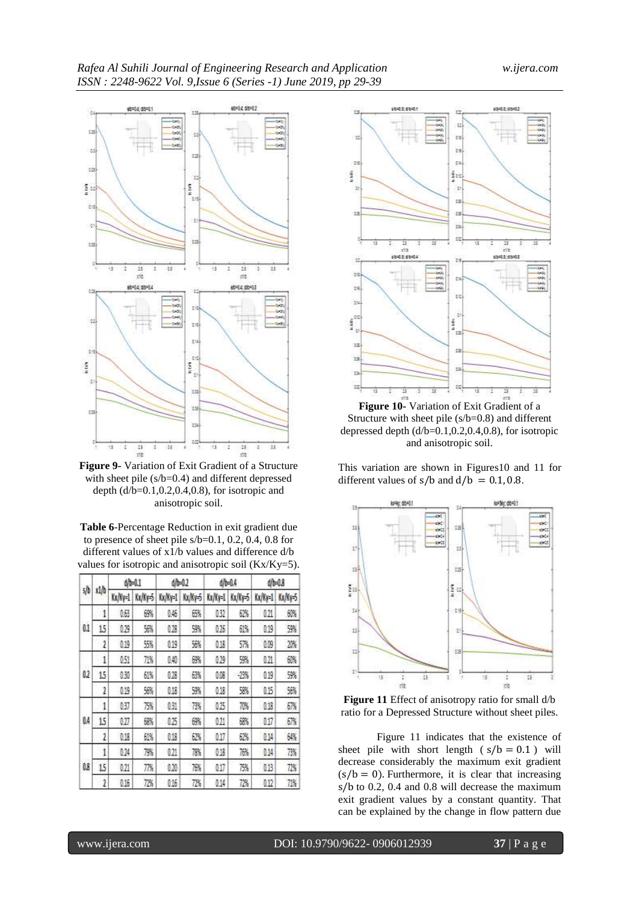

**Figure 9-** Variation of Exit Gradient of a Structure with sheet pile (s/b=0.4) and different depressed depth  $(d/b=0.1, 0.2, 0.4, 0.8)$ , for isotropic and anisotropic soil.

**Table 6**-Percentage Reduction in exit gradient due to presence of sheet pile s/b=0.1, 0.2, 0.4, 0.8 for different values of x1/b values and difference d/b values for isotropic and anisotropic soil (Kx/Ky=5).

|     |      | dh=0.1  |         | d/b=0.2 |         | 40-04   |         | d/b=0.8                                             |         |
|-----|------|---------|---------|---------|---------|---------|---------|-----------------------------------------------------|---------|
| s/b | xi/b | Kx/Ky=1 | Kx/Ky=5 | Kx/Ky=1 | Kx/Ky-5 | Kx/Ky=1 | Kx/Ky=5 | Kx/Ky=1                                             | Kx/Ky=5 |
|     | 1    | 0,63    | 磤       | 0.45    | 65%     | 032     | 62%     | 0.21                                                | 60%     |
| 0.1 | 15   | 029     | 56%     | 0.28    | 9%      | 026     | 61%     | 0.19                                                | 59%     |
|     | 2    | 0.19    | 55%     | 019     | 56%     | 0.18    | 57%     | 0.09                                                | 2%      |
|     | 1    | 051     | 71%     | 0.40    | 6%      | 0.29    | 9%      | 0,21                                                | 60%     |
| 02  | 15   | 030     | 61%     | 028     | 63%     | 9,08    | $-23%$  | 0.19                                                | 5%      |
|     | 2    | 0.19    | 56%     | 0.13    | 59%     | 0.18    | 58%     | 0.15<br>0.18<br>0.17<br>0.14<br>0.14<br>013<br>0.12 | 56%     |
|     | i    | 037     | 75%     | 031     | 73%     | 025     | 70%     |                                                     | 67%     |
| Ø.4 | 15   | 027     | 68%     | 025     | 6%      | 021     | 68%     |                                                     | 67%     |
|     | 2    | 0.18    | 61%     | 018     | 62%     | 0.17    | 62%     |                                                     | 64%     |
|     | 1    | 024     | 79%     | 021     | 78%     | 0.18    | 76%     |                                                     | 73%     |
| 0.8 | 15   | 021     | 77%     | 020     | 76%     | 017     | 75%     |                                                     | 72%     |
|     | 2    | 0.16    | 72%     | 0.16    | 72%     | 0.14    | 72%     |                                                     | 71%     |



**Figure 10-** Variation of Exit Gradient of a Structure with sheet pile (s/b=0.8) and different depressed depth  $(d/b=0.1, 0.2, 0.4, 0.8)$ , for isotropic and anisotropic soil.

This variation are shown in Figures10 and 11 for different values of  $s/b$  and  $d/b = 0.1, 0.8$ .



**Figure 11** Effect of anisotropy ratio for small d/b ratio for a Depressed Structure without sheet piles.

Figure 11 indicates that the existence of sheet pile with short length  $(s/b = 0.1)$  will decrease considerably the maximum exit gradient  $(s/b = 0)$ . Furthermore, it is clear that increasing s/b to 0.2, 0.4 and 0.8 will decrease the maximum exit gradient values by a constant quantity. That can be explained by the change in flow pattern due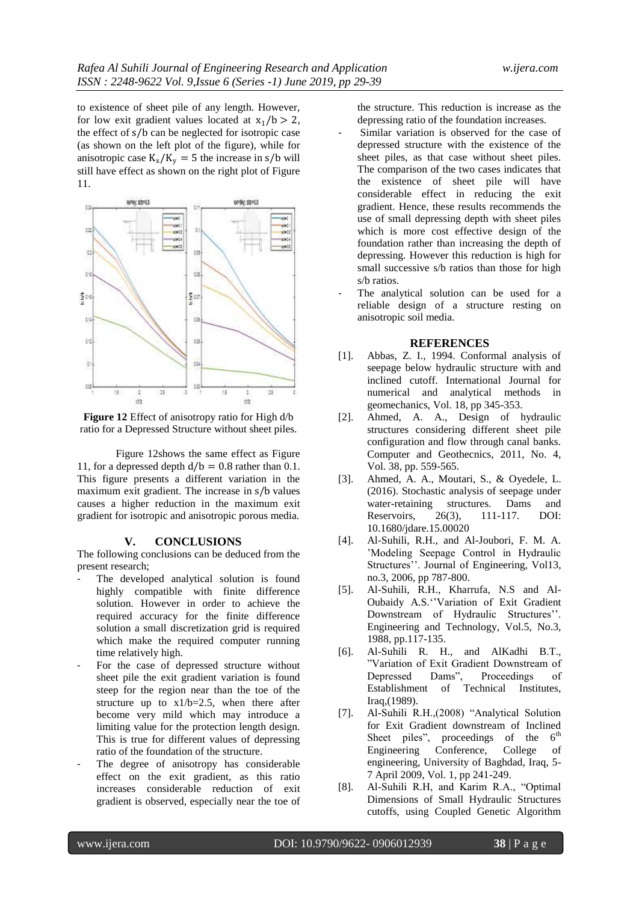to existence of sheet pile of any length. However, for low exit gradient values located at  $x_1/b > 2$ , the effect of s/b can be neglected for isotropic case (as shown on the left plot of the figure), while for anisotropic case  $K_x/K_y = 5$  the increase in s/b will still have effect as shown on the right plot of Figure 11.



**Figure 12** Effect of anisotropy ratio for High d/b ratio for a Depressed Structure without sheet piles.

Figure 12shows the same effect as Figure 11, for a depressed depth  $d/b = 0.8$  rather than 0.1. This figure presents a different variation in the maximum exit gradient. The increase in s/b values causes a higher reduction in the maximum exit gradient for isotropic and anisotropic porous media.

## **V. CONCLUSIONS**

The following conclusions can be deduced from the present research;

- The developed analytical solution is found highly compatible with finite difference solution. However in order to achieve the required accuracy for the finite difference solution a small discretization grid is required which make the required computer running time relatively high.
- For the case of depressed structure without sheet pile the exit gradient variation is found steep for the region near than the toe of the structure up to  $x1/b=2.5$ , when there after become very mild which may introduce a limiting value for the protection length design. This is true for different values of depressing ratio of the foundation of the structure.
- The degree of anisotropy has considerable effect on the exit gradient, as this ratio increases considerable reduction of exit gradient is observed, especially near the toe of

the structure. This reduction is increase as the depressing ratio of the foundation increases.

- Similar variation is observed for the case of depressed structure with the existence of the sheet piles, as that case without sheet piles. The comparison of the two cases indicates that the existence of sheet pile will have considerable effect in reducing the exit gradient. Hence, these results recommends the use of small depressing depth with sheet piles which is more cost effective design of the foundation rather than increasing the depth of depressing. However this reduction is high for small successive s/b ratios than those for high s/b ratios.
- The analytical solution can be used for a reliable design of a structure resting on anisotropic soil media.

## **REFERENCES**

- [1]. Abbas, Z. I., 1994. Conformal analysis of seepage below hydraulic structure with and inclined cutoff. International Journal for numerical and analytical methods in geomechanics, Vol. 18, pp 345-353.
- [2]. Ahmed, A. A., Design of hydraulic structures considering different sheet pile configuration and flow through canal banks. Computer and Geothecnics, 2011, No. 4, Vol. 38, pp. 559-565.
- [3]. Ahmed, A. A., Moutari, S., & Oyedele, L. (2016). Stochastic analysis of seepage under water-retaining structures. Dams and Reservoirs, 26(3), 111-117. DOI: 10.1680/jdare.15.00020
- [4]. Al-Suhili, R.H., and Al-Joubori, F. M. A. "Modeling Seepage Control in Hydraulic Structures". Journal of Engineering, Vol13, no.3, 2006, pp 787-800.
- [5]. Al-Suhili, R.H., Kharrufa, N.S and Al-Oubaidy A.S. ''Variation of Exit Gradient Downstream of Hydraulic Structures". Engineering and Technology, Vol.5, No.3, 1988, pp.117-135.
- [6]. Al-Suhili R. H., and AlKadhi B.T., "Variation of Exit Gradient Downstream of Depressed Dams", Proceedings of Establishment of Technical Institutes, Iraq,(1989).
- [7]. Al-Suhili R.H.,(2008) "Analytical Solution for Exit Gradient downstream of Inclined Sheet piles", proceedings of the  $6<sup>th</sup>$ Engineering Conference, College of engineering, University of Baghdad, Iraq, 5- 7 April 2009, Vol. 1, pp 241-249.
- [8]. Al-Suhili R.H, and Karim R.A., "Optimal Dimensions of Small Hydraulic Structures cutoffs, using Coupled Genetic Algorithm